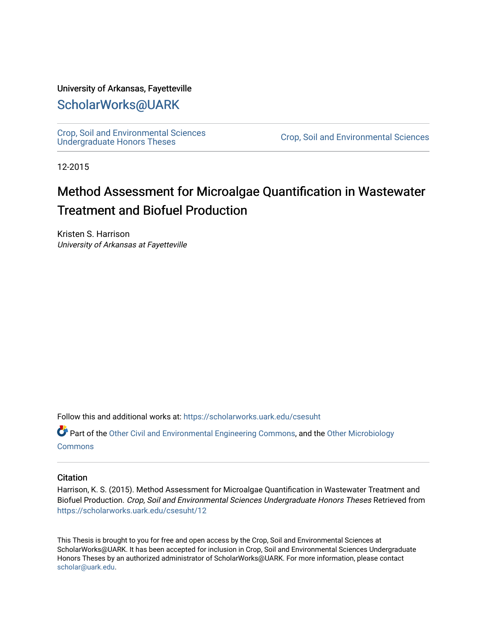#### University of Arkansas, Fayetteville

### [ScholarWorks@UARK](https://scholarworks.uark.edu/)

[Crop, Soil and Environmental Sciences](https://scholarworks.uark.edu/csesuht) 

Crop, Soil and Environmental Sciences

12-2015

# Method Assessment for Microalgae Quantification in Wastewater Treatment and Biofuel Production

Kristen S. Harrison University of Arkansas at Fayetteville

Follow this and additional works at: [https://scholarworks.uark.edu/csesuht](https://scholarworks.uark.edu/csesuht?utm_source=scholarworks.uark.edu%2Fcsesuht%2F12&utm_medium=PDF&utm_campaign=PDFCoverPages)

Part of the [Other Civil and Environmental Engineering Commons](http://network.bepress.com/hgg/discipline/257?utm_source=scholarworks.uark.edu%2Fcsesuht%2F12&utm_medium=PDF&utm_campaign=PDFCoverPages), and the [Other Microbiology](http://network.bepress.com/hgg/discipline/54?utm_source=scholarworks.uark.edu%2Fcsesuht%2F12&utm_medium=PDF&utm_campaign=PDFCoverPages)  **[Commons](http://network.bepress.com/hgg/discipline/54?utm_source=scholarworks.uark.edu%2Fcsesuht%2F12&utm_medium=PDF&utm_campaign=PDFCoverPages)** 

#### **Citation**

Harrison, K. S. (2015). Method Assessment for Microalgae Quantification in Wastewater Treatment and Biofuel Production. Crop, Soil and Environmental Sciences Undergraduate Honors Theses Retrieved from [https://scholarworks.uark.edu/csesuht/12](https://scholarworks.uark.edu/csesuht/12?utm_source=scholarworks.uark.edu%2Fcsesuht%2F12&utm_medium=PDF&utm_campaign=PDFCoverPages) 

This Thesis is brought to you for free and open access by the Crop, Soil and Environmental Sciences at ScholarWorks@UARK. It has been accepted for inclusion in Crop, Soil and Environmental Sciences Undergraduate Honors Theses by an authorized administrator of ScholarWorks@UARK. For more information, please contact [scholar@uark.edu](mailto:scholar@uark.edu).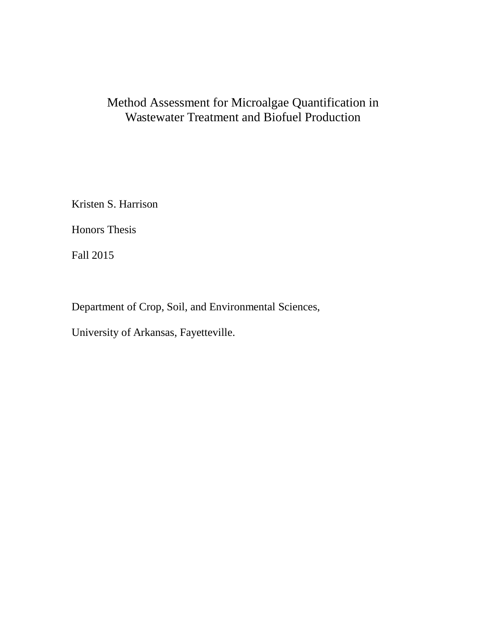# Method Assessment for Microalgae Quantification in Wastewater Treatment and Biofuel Production

Kristen S. Harrison

Honors Thesis

Fall 2015

Department of Crop, Soil, and Environmental Sciences,

University of Arkansas, Fayetteville.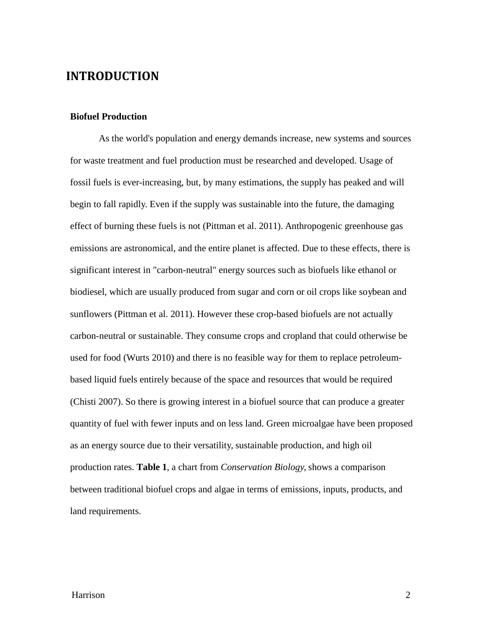### **INTRODUCTION**

#### **Biofuel Production**

As the world's population and energy demands increase, new systems and sources for waste treatment and fuel production must be researched and developed. Usage of fossil fuels is ever-increasing, but, by many estimations, the supply has peaked and will begin to fall rapidly. Even if the supply was sustainable into the future, the damaging effect of burning these fuels is not (Pittman et al. 2011). Anthropogenic greenhouse gas emissions are astronomical, and the entire planet is affected. Due to these effects, there is significant interest in "carbon-neutral" energy sources such as biofuels like ethanol or biodiesel, which are usually produced from sugar and corn or oil crops like soybean and sunflowers (Pittman et al. 2011). However these crop-based biofuels are not actually carbon-neutral or sustainable. They consume crops and cropland that could otherwise be used for food (Wurts 2010) and there is no feasible way for them to replace petroleumbased liquid fuels entirely because of the space and resources that would be required (Chisti 2007). So there is growing interest in a biofuel source that can produce a greater quantity of fuel with fewer inputs and on less land. Green microalgae have been proposed as an energy source due to their versatility, sustainable production, and high oil production rates. **Table 1**, a chart from *Conservation Biology*, shows a comparison between traditional biofuel crops and algae in terms of emissions, inputs, products, and land requirements.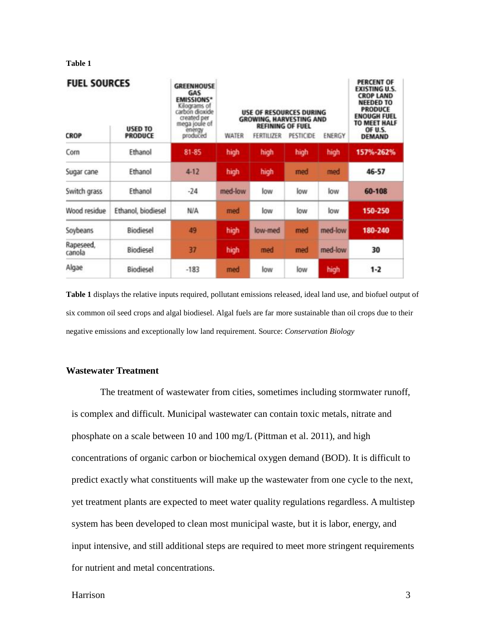#### **Table 1**

| <b>FUEL SOURCES</b><br><b>USED TO</b><br><b>CROP</b><br><b>PRODUCE</b> |                    | <b>GREENHOUSE</b><br>GAS<br><b>EMISSIONS*</b><br>Kilograms of<br>carbon dioxide<br>created per<br>mega joule of<br>energy<br>produced | USE OF RESOURCES DURING<br><b>GROWING, HARVESTING AND</b><br><b>REFINING OF FUEL</b><br>WATER<br><b>FERTILIZER</b><br>PESTICIDE<br>ENERGY |         |      |         | <b>PERCENT OF</b><br><b>EXISTING U.S.</b><br><b>CROP LAND</b><br><b>NEEDED TO</b><br><b>PRODUCE</b><br><b>ENOUGH FUEL</b><br><b>TO MEET HALF</b><br>OF U.S.<br><b>DEMAND</b> |
|------------------------------------------------------------------------|--------------------|---------------------------------------------------------------------------------------------------------------------------------------|-------------------------------------------------------------------------------------------------------------------------------------------|---------|------|---------|------------------------------------------------------------------------------------------------------------------------------------------------------------------------------|
| Corn                                                                   | Ethanol            | 81-85                                                                                                                                 | high                                                                                                                                      | high    | high | high    | 157%-262%                                                                                                                                                                    |
| Sugar cane                                                             | Ethanol            | $4 - 12$                                                                                                                              | high                                                                                                                                      | high    | med  | med     | 46-57                                                                                                                                                                        |
| Switch grass                                                           | Ethanol            | $-24$                                                                                                                                 | med-low                                                                                                                                   | low     | low  | low     | 60-108                                                                                                                                                                       |
| Wood residue                                                           | Ethanol, biodiesel | <b>N/A</b>                                                                                                                            | med                                                                                                                                       | low     | low  | low     | 150-250                                                                                                                                                                      |
| Soybeans                                                               | Biodiesel          | 49                                                                                                                                    | high                                                                                                                                      | low-med | med  | med-low | 180-240                                                                                                                                                                      |
| Rapeseed,<br>canola                                                    | Biodiesel          | 37                                                                                                                                    | high                                                                                                                                      | med     | med  | med-low | 30                                                                                                                                                                           |
| Algae                                                                  | Biodiesel          | $-183$                                                                                                                                | med                                                                                                                                       | low     | low  | high    | $1 - 2$                                                                                                                                                                      |

**Table 1** displays the relative inputs required, pollutant emissions released, ideal land use, and biofuel output of six common oil seed crops and algal biodiesel. Algal fuels are far more sustainable than oil crops due to their negative emissions and exceptionally low land requirement. Source: *Conservation Biology*

#### **Wastewater Treatment**

The treatment of wastewater from cities, sometimes including stormwater runoff, is complex and difficult. Municipal wastewater can contain toxic metals, nitrate and phosphate on a scale between 10 and 100 mg/L (Pittman et al. 2011), and high concentrations of organic carbon or biochemical oxygen demand (BOD). It is difficult to predict exactly what constituents will make up the wastewater from one cycle to the next, yet treatment plants are expected to meet water quality regulations regardless. A multistep system has been developed to clean most municipal waste, but it is labor, energy, and input intensive, and still additional steps are required to meet more stringent requirements for nutrient and metal concentrations.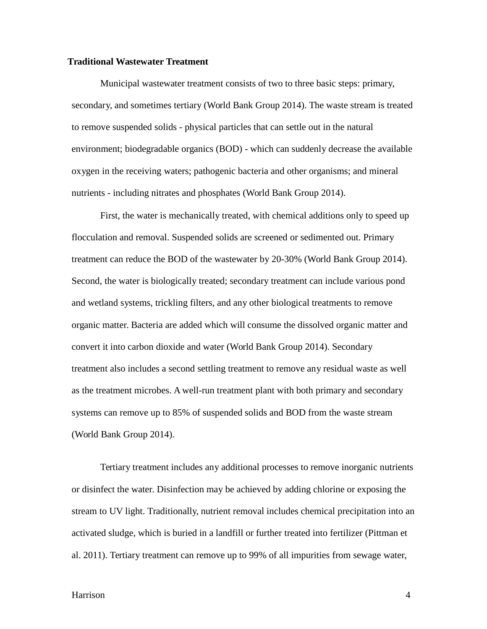#### **Traditional Wastewater Treatment**

Municipal wastewater treatment consists of two to three basic steps: primary, secondary, and sometimes tertiary (World Bank Group 2014). The waste stream is treated to remove suspended solids - physical particles that can settle out in the natural environment; biodegradable organics (BOD) - which can suddenly decrease the available oxygen in the receiving waters; pathogenic bacteria and other organisms; and mineral nutrients - including nitrates and phosphates (World Bank Group 2014).

First, the water is mechanically treated, with chemical additions only to speed up flocculation and removal. Suspended solids are screened or sedimented out. Primary treatment can reduce the BOD of the wastewater by 20-30% (World Bank Group 2014). Second, the water is biologically treated; secondary treatment can include various pond and wetland systems, trickling filters, and any other biological treatments to remove organic matter. Bacteria are added which will consume the dissolved organic matter and convert it into carbon dioxide and water (World Bank Group 2014). Secondary treatment also includes a second settling treatment to remove any residual waste as well as the treatment microbes. A well-run treatment plant with both primary and secondary systems can remove up to 85% of suspended solids and BOD from the waste stream (World Bank Group 2014).

Tertiary treatment includes any additional processes to remove inorganic nutrients or disinfect the water. Disinfection may be achieved by adding chlorine or exposing the stream to UV light. Traditionally, nutrient removal includes chemical precipitation into an activated sludge, which is buried in a landfill or further treated into fertilizer (Pittman et al. 2011). Tertiary treatment can remove up to 99% of all impurities from sewage water,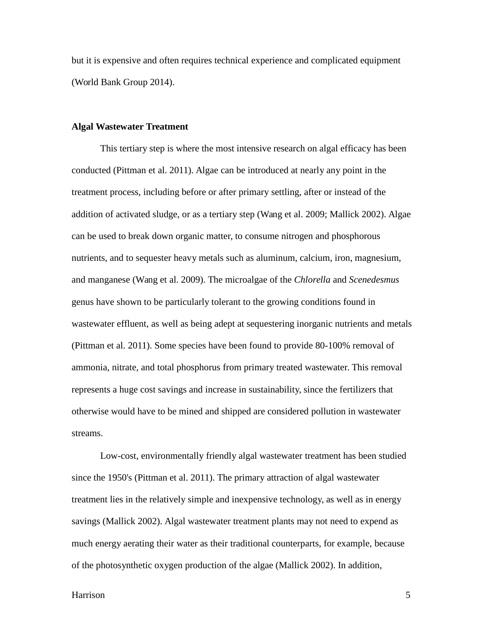but it is expensive and often requires technical experience and complicated equipment (World Bank Group 2014).

#### **Algal Wastewater Treatment**

This tertiary step is where the most intensive research on algal efficacy has been conducted (Pittman et al. 2011). Algae can be introduced at nearly any point in the treatment process, including before or after primary settling, after or instead of the addition of activated sludge, or as a tertiary step (Wang et al. 2009; Mallick 2002). Algae can be used to break down organic matter, to consume nitrogen and phosphorous nutrients, and to sequester heavy metals such as aluminum, calcium, iron, magnesium, and manganese (Wang et al. 2009). The microalgae of the *Chlorella* and *Scenedesmus*  genus have shown to be particularly tolerant to the growing conditions found in wastewater effluent, as well as being adept at sequestering inorganic nutrients and metals (Pittman et al. 2011). Some species have been found to provide 80-100% removal of ammonia, nitrate, and total phosphorus from primary treated wastewater. This removal represents a huge cost savings and increase in sustainability, since the fertilizers that otherwise would have to be mined and shipped are considered pollution in wastewater streams.

Low-cost, environmentally friendly algal wastewater treatment has been studied since the 1950's (Pittman et al. 2011). The primary attraction of algal wastewater treatment lies in the relatively simple and inexpensive technology, as well as in energy savings (Mallick 2002). Algal wastewater treatment plants may not need to expend as much energy aerating their water as their traditional counterparts, for example, because of the photosynthetic oxygen production of the algae (Mallick 2002). In addition,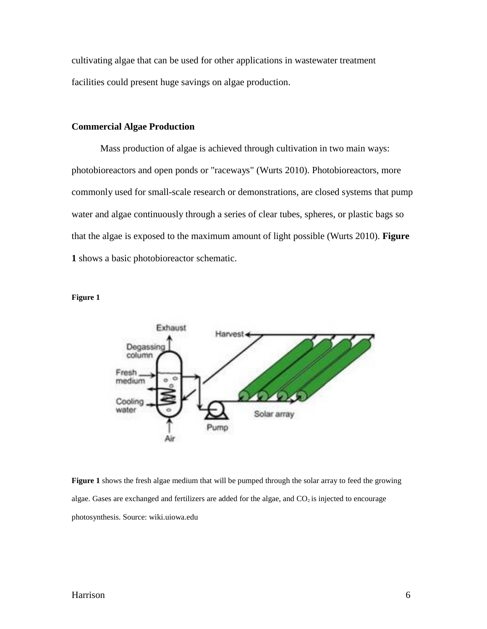cultivating algae that can be used for other applications in wastewater treatment facilities could present huge savings on algae production.

### **Commercial Algae Production**

Mass production of algae is achieved through cultivation in two main ways: photobioreactors and open ponds or "raceways" (Wurts 2010). Photobioreactors, more commonly used for small-scale research or demonstrations, are closed systems that pump water and algae continuously through a series of clear tubes, spheres, or plastic bags so that the algae is exposed to the maximum amount of light possible (Wurts 2010). **Figure 1** shows a basic photobioreactor schematic.





**Figure 1** shows the fresh algae medium that will be pumped through the solar array to feed the growing algae. Gases are exchanged and fertilizers are added for the algae, and  $CO<sub>2</sub>$  is injected to encourage photosynthesis. Source: wiki.uiowa.edu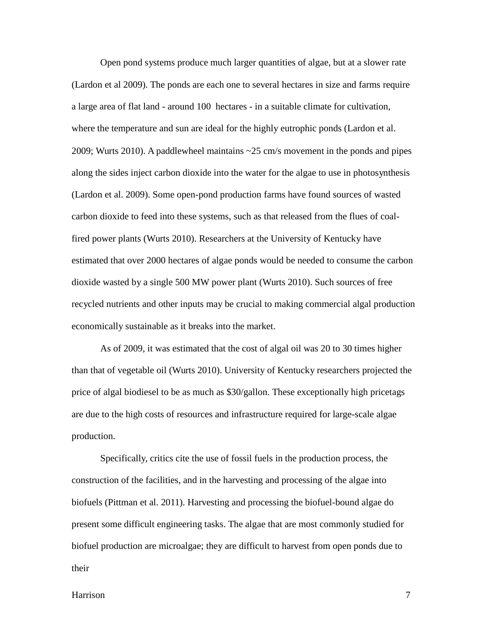Open pond systems produce much larger quantities of algae, but at a slower rate (Lardon et al 2009). The ponds are each one to several hectares in size and farms require a large area of flat land - around 100 hectares - in a suitable climate for cultivation, where the temperature and sun are ideal for the highly eutrophic ponds (Lardon et al. 2009; Wurts 2010). A paddlewheel maintains ~25 cm/s movement in the ponds and pipes along the sides inject carbon dioxide into the water for the algae to use in photosynthesis (Lardon et al. 2009). Some open-pond production farms have found sources of wasted carbon dioxide to feed into these systems, such as that released from the flues of coalfired power plants (Wurts 2010). Researchers at the University of Kentucky have estimated that over 2000 hectares of algae ponds would be needed to consume the carbon dioxide wasted by a single 500 MW power plant (Wurts 2010). Such sources of free recycled nutrients and other inputs may be crucial to making commercial algal production economically sustainable as it breaks into the market.

As of 2009, it was estimated that the cost of algal oil was 20 to 30 times higher than that of vegetable oil (Wurts 2010). University of Kentucky researchers projected the price of algal biodiesel to be as much as \$30/gallon. These exceptionally high pricetags are due to the high costs of resources and infrastructure required for large-scale algae production.

Specifically, critics cite the use of fossil fuels in the production process, the construction of the facilities, and in the harvesting and processing of the algae into biofuels (Pittman et al. 2011). Harvesting and processing the biofuel-bound algae do present some difficult engineering tasks. The algae that are most commonly studied for biofuel production are microalgae; they are difficult to harvest from open ponds due to their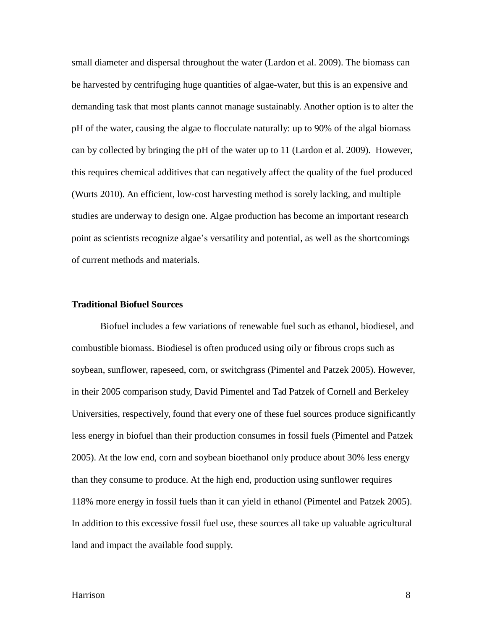small diameter and dispersal throughout the water (Lardon et al. 2009). The biomass can be harvested by centrifuging huge quantities of algae-water, but this is an expensive and demanding task that most plants cannot manage sustainably. Another option is to alter the pH of the water, causing the algae to flocculate naturally: up to 90% of the algal biomass can by collected by bringing the pH of the water up to 11 (Lardon et al. 2009). However, this requires chemical additives that can negatively affect the quality of the fuel produced (Wurts 2010). An efficient, low-cost harvesting method is sorely lacking, and multiple studies are underway to design one. Algae production has become an important research point as scientists recognize algae's versatility and potential, as well as the shortcomings of current methods and materials.

#### **Traditional Biofuel Sources**

Biofuel includes a few variations of renewable fuel such as ethanol, biodiesel, and combustible biomass. Biodiesel is often produced using oily or fibrous crops such as soybean, sunflower, rapeseed, corn, or switchgrass (Pimentel and Patzek 2005). However, in their 2005 comparison study, David Pimentel and Tad Patzek of Cornell and Berkeley Universities, respectively, found that every one of these fuel sources produce significantly less energy in biofuel than their production consumes in fossil fuels (Pimentel and Patzek 2005). At the low end, corn and soybean bioethanol only produce about 30% less energy than they consume to produce. At the high end, production using sunflower requires 118% more energy in fossil fuels than it can yield in ethanol (Pimentel and Patzek 2005). In addition to this excessive fossil fuel use, these sources all take up valuable agricultural land and impact the available food supply.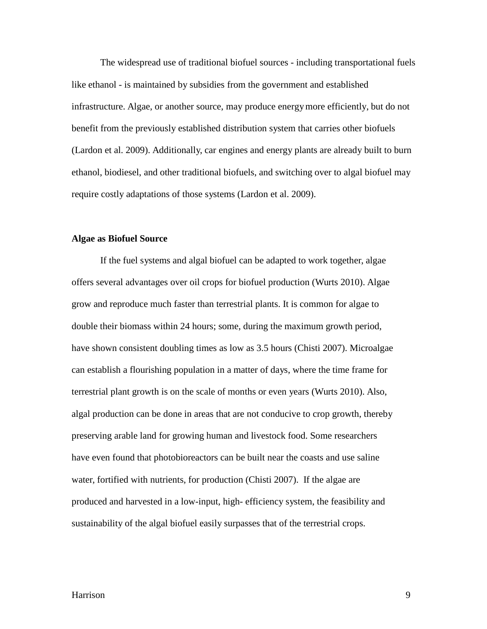The widespread use of traditional biofuel sources - including transportational fuels like ethanol - is maintained by subsidies from the government and established infrastructure. Algae, or another source, may produce energymore efficiently, but do not benefit from the previously established distribution system that carries other biofuels (Lardon et al. 2009). Additionally, car engines and energy plants are already built to burn ethanol, biodiesel, and other traditional biofuels, and switching over to algal biofuel may require costly adaptations of those systems (Lardon et al. 2009).

#### **Algae as Biofuel Source**

If the fuel systems and algal biofuel can be adapted to work together, algae offers several advantages over oil crops for biofuel production (Wurts 2010). Algae grow and reproduce much faster than terrestrial plants. It is common for algae to double their biomass within 24 hours; some, during the maximum growth period, have shown consistent doubling times as low as 3.5 hours (Chisti 2007). Microalgae can establish a flourishing population in a matter of days, where the time frame for terrestrial plant growth is on the scale of months or even years (Wurts 2010). Also, algal production can be done in areas that are not conducive to crop growth, thereby preserving arable land for growing human and livestock food. Some researchers have even found that photobioreactors can be built near the coasts and use saline water, fortified with nutrients, for production (Chisti 2007). If the algae are produced and harvested in a low-input, high- efficiency system, the feasibility and sustainability of the algal biofuel easily surpasses that of the terrestrial crops.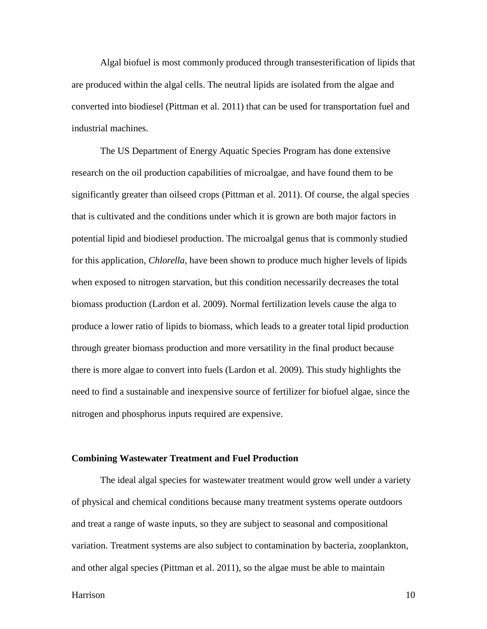Algal biofuel is most commonly produced through transesterification of lipids that are produced within the algal cells. The neutral lipids are isolated from the algae and converted into biodiesel (Pittman et al. 2011) that can be used for transportation fuel and industrial machines.

The US Department of Energy Aquatic Species Program has done extensive research on the oil production capabilities of microalgae, and have found them to be significantly greater than oilseed crops (Pittman et al. 2011). Of course, the algal species that is cultivated and the conditions under which it is grown are both major factors in potential lipid and biodiesel production. The microalgal genus that is commonly studied for this application, *Chlorella*, have been shown to produce much higher levels of lipids when exposed to nitrogen starvation, but this condition necessarily decreases the total biomass production (Lardon et al. 2009). Normal fertilization levels cause the alga to produce a lower ratio of lipids to biomass, which leads to a greater total lipid production through greater biomass production and more versatility in the final product because there is more algae to convert into fuels (Lardon et al. 2009). This study highlights the need to find a sustainable and inexpensive source of fertilizer for biofuel algae, since the nitrogen and phosphorus inputs required are expensive.

#### **Combining Wastewater Treatment and Fuel Production**

The ideal algal species for wastewater treatment would grow well under a variety of physical and chemical conditions because many treatment systems operate outdoors and treat a range of waste inputs, so they are subject to seasonal and compositional variation. Treatment systems are also subject to contamination by bacteria, zooplankton, and other algal species (Pittman et al. 2011), so the algae must be able to maintain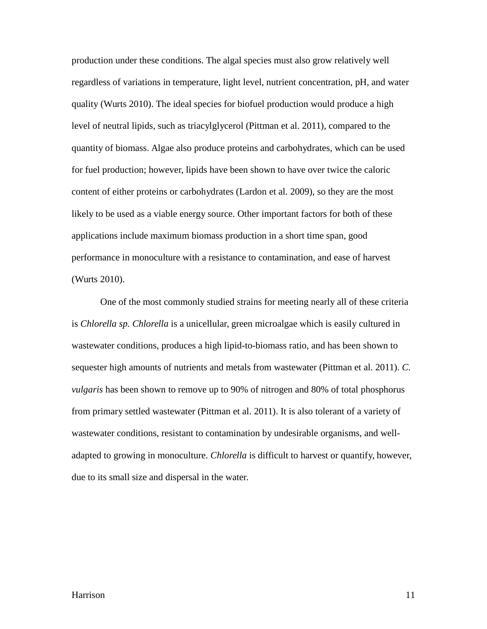production under these conditions. The algal species must also grow relatively well regardless of variations in temperature, light level, nutrient concentration, pH, and water quality (Wurts 2010). The ideal species for biofuel production would produce a high level of neutral lipids, such as triacylglycerol (Pittman et al. 2011), compared to the quantity of biomass. Algae also produce proteins and carbohydrates, which can be used for fuel production; however, lipids have been shown to have over twice the caloric content of either proteins or carbohydrates (Lardon et al. 2009), so they are the most likely to be used as a viable energy source. Other important factors for both of these applications include maximum biomass production in a short time span, good performance in monoculture with a resistance to contamination, and ease of harvest (Wurts 2010).

One of the most commonly studied strains for meeting nearly all of these criteria is *Chlorella sp. Chlorella* is a unicellular, green microalgae which is easily cultured in wastewater conditions, produces a high lipid-to-biomass ratio, and has been shown to sequester high amounts of nutrients and metals from wastewater (Pittman et al. 2011). *C. vulgaris* has been shown to remove up to 90% of nitrogen and 80% of total phosphorus from primary settled wastewater (Pittman et al. 2011). It is also tolerant of a variety of wastewater conditions, resistant to contamination by undesirable organisms, and welladapted to growing in monoculture. *Chlorella* is difficult to harvest or quantify, however, due to its small size and dispersal in the water.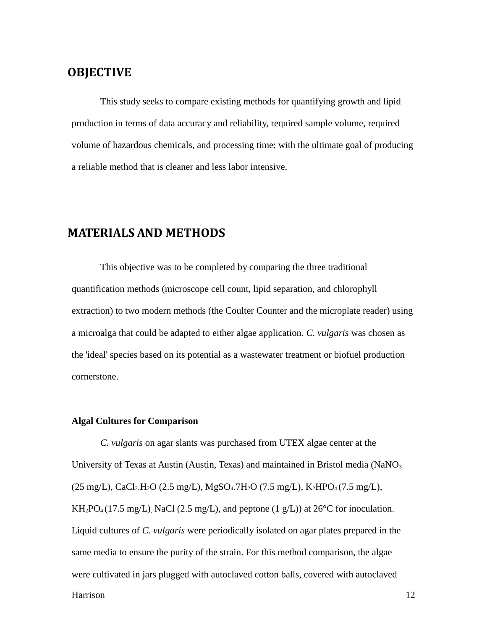### **OBJECTIVE**

This study seeks to compare existing methods for quantifying growth and lipid production in terms of data accuracy and reliability, required sample volume, required volume of hazardous chemicals, and processing time; with the ultimate goal of producing a reliable method that is cleaner and less labor intensive.

### **MATERIALS AND METHODS**

This objective was to be completed by comparing the three traditional quantification methods (microscope cell count, lipid separation, and chlorophyll extraction) to two modern methods (the Coulter Counter and the microplate reader) using a microalga that could be adapted to either algae application. *C. vulgaris* was chosen as the 'ideal' species based on its potential as a wastewater treatment or biofuel production cornerstone.

#### **Algal Cultures for Comparison**

Harrison 12 *C. vulgaris* on agar slants was purchased from UTEX algae center at the University of Texas at Austin (Austin, Texas) and maintained in Bristol media (NaNO<sub>3</sub>)  $(25 \text{ mg/L})$ , CaCl<sub>2</sub>.H<sub>2</sub>O (2.5 mg/L), MgSO<sub>4</sub>.7H<sub>2</sub>O (7.5 mg/L), K<sub>2</sub>HPO<sub>4</sub> (7.5 mg/L),  $KH_2PO_4(17.5 \text{ mg/L})$ , NaCl (2.5 mg/L), and peptone (1 g/L)) at 26<sup>o</sup>C for inoculation. Liquid cultures of *C. vulgaris* were periodically isolated on agar plates prepared in the same media to ensure the purity of the strain. For this method comparison, the algae were cultivated in jars plugged with autoclaved cotton balls, covered with autoclaved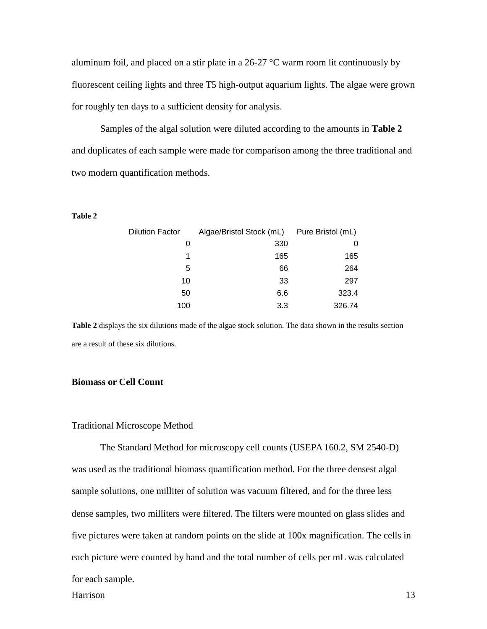aluminum foil, and placed on a stir plate in a 26-27 °C warm room lit continuously by fluorescent ceiling lights and three T5 high-output aquarium lights. The algae were grown for roughly ten days to a sufficient density for analysis.

Samples of the algal solution were diluted according to the amounts in **Table 2** and duplicates of each sample were made for comparison among the three traditional and two modern quantification methods.

#### **Table 2**

| <b>Dilution Factor</b> | Algae/Bristol Stock (mL) Pure Bristol (mL) |        |  |
|------------------------|--------------------------------------------|--------|--|
| O                      | 330                                        |        |  |
|                        | 165                                        | 165    |  |
| 5                      | 66                                         | 264    |  |
| 10                     | 33                                         | 297    |  |
| 50                     | 6.6                                        | 323.4  |  |
| 100                    | 3.3                                        | 326.74 |  |

**Table 2** displays the six dilutions made of the algae stock solution. The data shown in the results section are a result of these six dilutions.

#### **Biomass or Cell Count**

#### Traditional Microscope Method

The Standard Method for microscopy cell counts (USEPA 160.2, SM 2540-D) was used as the traditional biomass quantification method. For the three densest algal sample solutions, one milliter of solution was vacuum filtered, and for the three less dense samples, two milliters were filtered. The filters were mounted on glass slides and five pictures were taken at random points on the slide at 100x magnification. The cells in each picture were counted by hand and the total number of cells per mL was calculated for each sample.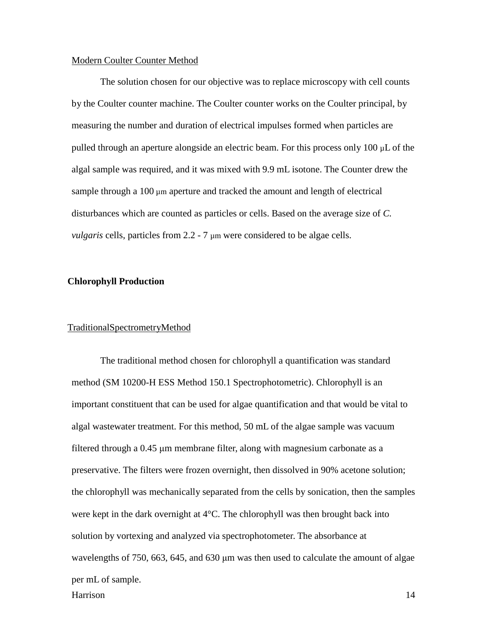#### Modern Coulter Counter Method

The solution chosen for our objective was to replace microscopy with cell counts by the Coulter counter machine. The Coulter counter works on the Coulter principal, by measuring the number and duration of electrical impulses formed when particles are pulled through an aperture alongside an electric beam. For this process only 100 µL of the algal sample was required, and it was mixed with 9.9 mL isotone. The Counter drew the sample through a  $100 \mu m$  aperture and tracked the amount and length of electrical disturbances which are counted as particles or cells. Based on the average size of *C. vulgaris* cells, particles from 2.2 - 7  $\mu$ m were considered to be algae cells.

#### **Chlorophyll Production**

#### TraditionalSpectrometryMethod

Harrison 14 The traditional method chosen for chlorophyll a quantification was standard method (SM 10200-H ESS Method 150.1 Spectrophotometric). Chlorophyll is an important constituent that can be used for algae quantification and that would be vital to algal wastewater treatment. For this method, 50 mL of the algae sample was vacuum filtered through a 0.45 μm membrane filter, along with magnesium carbonate as a preservative. The filters were frozen overnight, then dissolved in 90% acetone solution; the chlorophyll was mechanically separated from the cells by sonication, then the samples were kept in the dark overnight at 4°C. The chlorophyll was then brought back into solution by vortexing and analyzed via spectrophotometer. The absorbance at wavelengths of 750, 663, 645, and 630 μm was then used to calculate the amount of algae per mL of sample.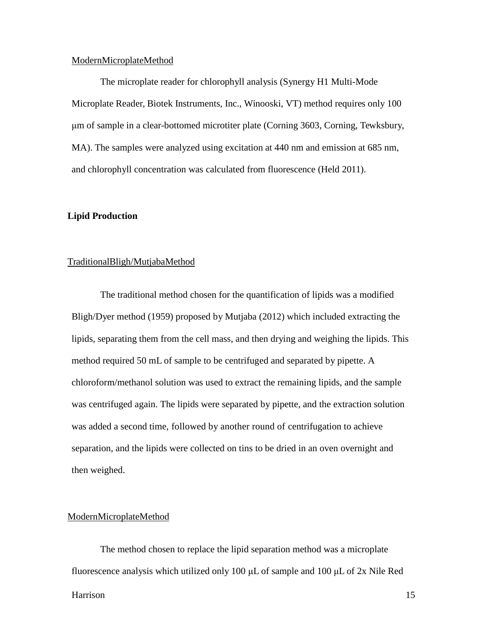#### ModernMicroplateMethod

The microplate reader for chlorophyll analysis (Synergy H1 Multi-Mode Microplate Reader, Biotek Instruments, Inc., Winooski, VT) method requires only 100 μm of sample in a clear-bottomed microtiter plate (Corning 3603, Corning, Tewksbury, MA). The samples were analyzed using excitation at 440 nm and emission at 685 nm, and chlorophyll concentration was calculated from fluorescence (Held 2011).

#### **Lipid Production**

#### TraditionalBligh/MutjabaMethod

The traditional method chosen for the quantification of lipids was a modified Bligh/Dyer method (1959) proposed by Mutjaba (2012) which included extracting the lipids, separating them from the cell mass, and then drying and weighing the lipids. This method required 50 mL of sample to be centrifuged and separated by pipette. A chloroform/methanol solution was used to extract the remaining lipids, and the sample was centrifuged again. The lipids were separated by pipette, and the extraction solution was added a second time, followed by another round of centrifugation to achieve separation, and the lipids were collected on tins to be dried in an oven overnight and then weighed.

#### ModernMicroplateMethod

The method chosen to replace the lipid separation method was a microplate fluorescence analysis which utilized only 100 μL of sample and 100 μL of 2x Nile Red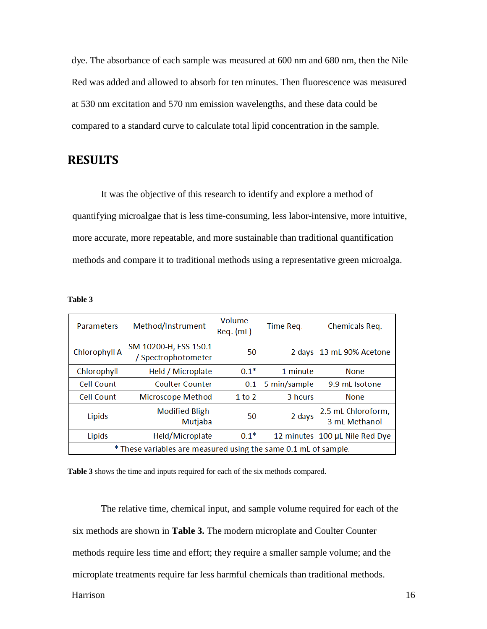dye. The absorbance of each sample was measured at 600 nm and 680 nm, then the Nile Red was added and allowed to absorb for ten minutes. Then fluorescence was measured at 530 nm excitation and 570 nm emission wavelengths, and these data could be compared to a standard curve to calculate total lipid concentration in the sample.

### **RESULTS**

It was the objective of this research to identify and explore a method of quantifying microalgae that is less time-consuming, less labor-intensive, more intuitive, more accurate, more repeatable, and more sustainable than traditional quantification methods and compare it to traditional methods using a representative green microalga.

| m |  |
|---|--|
|---|--|

| <b>Parameters</b>                                               | Method/Instrument                            | Volume<br>$Req.$ (mL) | Time Req.    | Chemicals Req.                      |  |  |
|-----------------------------------------------------------------|----------------------------------------------|-----------------------|--------------|-------------------------------------|--|--|
| Chlorophyll A                                                   | SM 10200-H, ESS 150.1<br>/ Spectrophotometer | 50                    |              | 2 days 13 mL 90% Acetone            |  |  |
| Chlorophyll                                                     | Held / Microplate                            | $0.1*$                | 1 minute     | <b>None</b>                         |  |  |
| Cell Count                                                      | Coulter Counter                              | 0.1                   | 5 min/sample | 9.9 mL Isotone                      |  |  |
| Cell Count                                                      | Microscope Method                            | 1 to 2                | 3 hours      | <b>None</b>                         |  |  |
| Lipids                                                          | <b>Modified Bligh-</b><br>Mutjaba            | 50                    | 2 days       | 2.5 mL Chloroform,<br>3 ml Methanol |  |  |
| Lipids                                                          | Held/Microplate                              | $0.1*$                |              | 12 minutes 100 µL Nile Red Dye      |  |  |
| * These variables are measured using the same 0.1 mL of sample. |                                              |                       |              |                                     |  |  |

**Table 3** shows the time and inputs required for each of the six methods compared.

The relative time, chemical input, and sample volume required for each of the six methods are shown in **Table 3.** The modern microplate and Coulter Counter methods require less time and effort; they require a smaller sample volume; and the microplate treatments require far less harmful chemicals than traditional methods.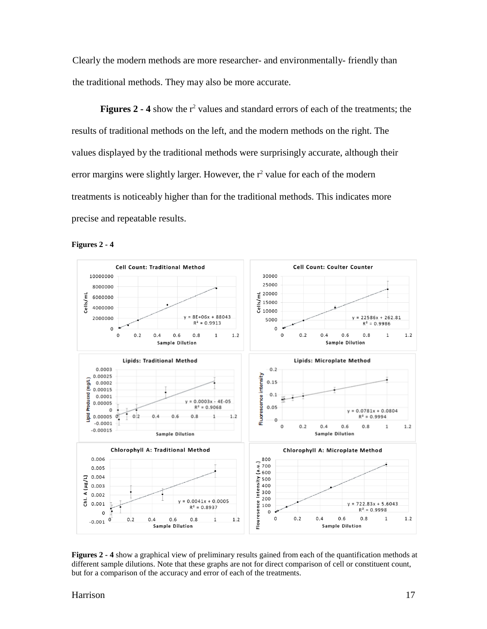Clearly the modern methods are more researcher- and environmentally- friendly than the traditional methods. They may also be more accurate.

**Figures 2 - 4** show the r<sup>2</sup> values and standard errors of each of the treatments; the results of traditional methods on the left, and the modern methods on the right. The values displayed by the traditional methods were surprisingly accurate, although their error margins were slightly larger. However, the  $r^2$  value for each of the modern treatments is noticeably higher than for the traditional methods. This indicates more precise and repeatable results.



**Figures 2 - 4**

**Figures 2 - 4** show a graphical view of preliminary results gained from each of the quantification methods at different sample dilutions. Note that these graphs are not for direct comparison of cell or constituent count, but for a comparison of the accuracy and error of each of the treatments.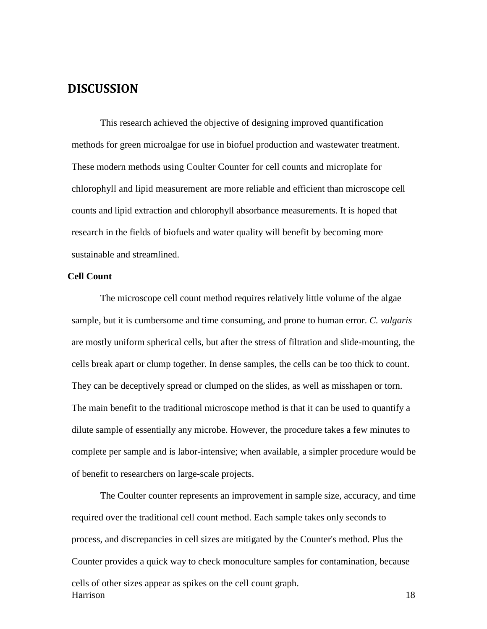## **DISCUSSION**

This research achieved the objective of designing improved quantification methods for green microalgae for use in biofuel production and wastewater treatment. These modern methods using Coulter Counter for cell counts and microplate for chlorophyll and lipid measurement are more reliable and efficient than microscope cell counts and lipid extraction and chlorophyll absorbance measurements. It is hoped that research in the fields of biofuels and water quality will benefit by becoming more sustainable and streamlined.

### **Cell Count**

The microscope cell count method requires relatively little volume of the algae sample, but it is cumbersome and time consuming, and prone to human error. *C. vulgaris* are mostly uniform spherical cells, but after the stress of filtration and slide-mounting, the cells break apart or clump together. In dense samples, the cells can be too thick to count. They can be deceptively spread or clumped on the slides, as well as misshapen or torn. The main benefit to the traditional microscope method is that it can be used to quantify a dilute sample of essentially any microbe. However, the procedure takes a few minutes to complete per sample and is labor-intensive; when available, a simpler procedure would be of benefit to researchers on large-scale projects.

Harrison 18 The Coulter counter represents an improvement in sample size, accuracy, and time required over the traditional cell count method. Each sample takes only seconds to process, and discrepancies in cell sizes are mitigated by the Counter's method. Plus the Counter provides a quick way to check monoculture samples for contamination, because cells of other sizes appear as spikes on the cell count graph.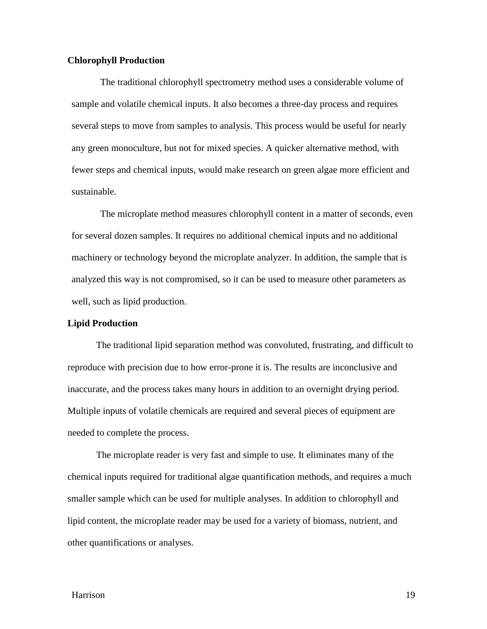#### **Chlorophyll Production**

The traditional chlorophyll spectrometry method uses a considerable volume of sample and volatile chemical inputs. It also becomes a three-day process and requires several steps to move from samples to analysis. This process would be useful for nearly any green monoculture, but not for mixed species. A quicker alternative method, with fewer steps and chemical inputs, would make research on green algae more efficient and sustainable.

The microplate method measures chlorophyll content in a matter of seconds, even for several dozen samples. It requires no additional chemical inputs and no additional machinery or technology beyond the microplate analyzer. In addition, the sample that is analyzed this way is not compromised, so it can be used to measure other parameters as well, such as lipid production.

#### **Lipid Production**

The traditional lipid separation method was convoluted, frustrating, and difficult to reproduce with precision due to how error-prone it is. The results are inconclusive and inaccurate, and the process takes many hours in addition to an overnight drying period. Multiple inputs of volatile chemicals are required and several pieces of equipment are needed to complete the process.

The microplate reader is very fast and simple to use. It eliminates many of the chemical inputs required for traditional algae quantification methods, and requires a much smaller sample which can be used for multiple analyses. In addition to chlorophyll and lipid content, the microplate reader may be used for a variety of biomass, nutrient, and other quantifications or analyses.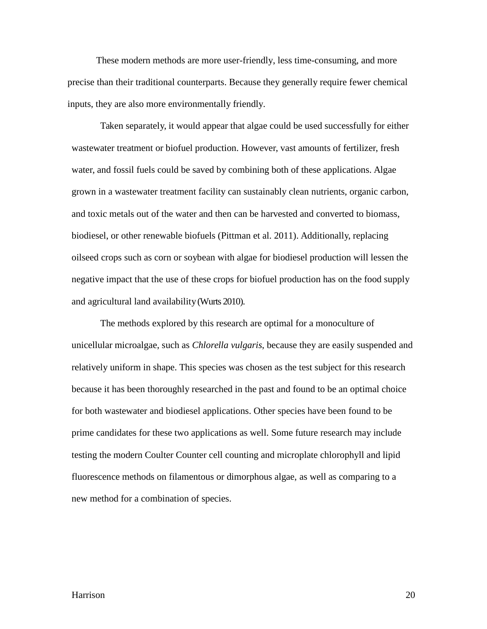These modern methods are more user-friendly, less time-consuming, and more precise than their traditional counterparts. Because they generally require fewer chemical inputs, they are also more environmentally friendly.

Taken separately, it would appear that algae could be used successfully for either wastewater treatment or biofuel production. However, vast amounts of fertilizer, fresh water, and fossil fuels could be saved by combining both of these applications. Algae grown in a wastewater treatment facility can sustainably clean nutrients, organic carbon, and toxic metals out of the water and then can be harvested and converted to biomass, biodiesel, or other renewable biofuels (Pittman et al. 2011). Additionally, replacing oilseed crops such as corn or soybean with algae for biodiesel production will lessen the negative impact that the use of these crops for biofuel production has on the food supply and agricultural land availability(Wurts 2010).

The methods explored by this research are optimal for a monoculture of unicellular microalgae, such as *Chlorella vulgaris*, because they are easily suspended and relatively uniform in shape. This species was chosen as the test subject for this research because it has been thoroughly researched in the past and found to be an optimal choice for both wastewater and biodiesel applications. Other species have been found to be prime candidates for these two applications as well. Some future research may include testing the modern Coulter Counter cell counting and microplate chlorophyll and lipid fluorescence methods on filamentous or dimorphous algae, as well as comparing to a new method for a combination of species.